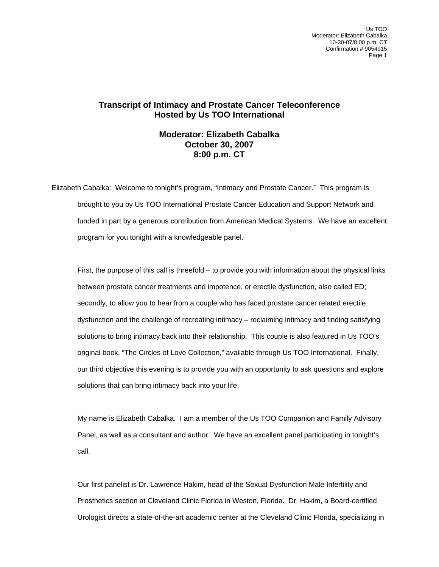Us TOO Moderator: Elizabeth Cabalka 10-30-07/8:00 p.m. CT Confirmation # 9054915 Page 1

## **Transcript of Intimacy and Prostate Cancer Teleconference Hosted by Us TOO International**

## **Moderator: Elizabeth Cabalka October 30, 2007 8:00 p.m. CT**

Elizabeth Cabalka: Welcome to tonight's program, "Intimacy and Prostate Cancer." This program is brought to you by Us TOO International Prostate Cancer Education and Support Network and funded in part by a generous contribution from American Medical Systems. We have an excellent program for you tonight with a knowledgeable panel.

 First, the purpose of this call is threefold – to provide you with information about the physical links between prostate cancer treatments and impotence, or erectile dysfunction, also called ED; secondly, to allow you to hear from a couple who has faced prostate cancer related erectile dysfunction and the challenge of recreating intimacy – reclaiming intimacy and finding satisfying solutions to bring intimacy back into their relationship. This couple is also featured in Us TOO's original book, "The Circles of Love Collection," available through Us TOO International. Finally, our third objective this evening is to provide you with an opportunity to ask questions and explore solutions that can bring intimacy back into your life.

 My name is Elizabeth Cabalka. I am a member of the Us TOO Companion and Family Advisory Panel, as well as a consultant and author. We have an excellent panel participating in tonight's call.

Our first panelist is Dr. Lawrence Hakim, head of the Sexual Dysfunction Male Infertility and Prosthetics section at Cleveland Clinic Florida in Weston, Florida. Dr. Hakim, a Board-certified Urologist directs a state-of-the-art academic center at the Cleveland Clinic Florida, specializing in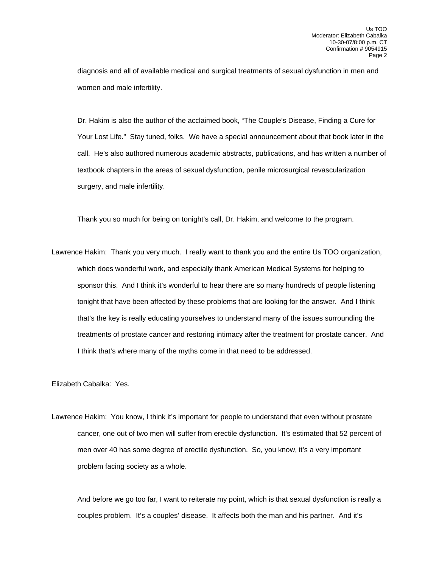diagnosis and all of available medical and surgical treatments of sexual dysfunction in men and women and male infertility.

 Dr. Hakim is also the author of the acclaimed book, "The Couple's Disease, Finding a Cure for Your Lost Life." Stay tuned, folks. We have a special announcement about that book later in the call. He's also authored numerous academic abstracts, publications, and has written a number of textbook chapters in the areas of sexual dysfunction, penile microsurgical revascularization surgery, and male infertility.

Thank you so much for being on tonight's call, Dr. Hakim, and welcome to the program.

Lawrence Hakim: Thank you very much. I really want to thank you and the entire Us TOO organization, which does wonderful work, and especially thank American Medical Systems for helping to sponsor this. And I think it's wonderful to hear there are so many hundreds of people listening tonight that have been affected by these problems that are looking for the answer. And I think that's the key is really educating yourselves to understand many of the issues surrounding the treatments of prostate cancer and restoring intimacy after the treatment for prostate cancer. And I think that's where many of the myths come in that need to be addressed.

Elizabeth Cabalka: Yes.

Lawrence Hakim: You know, I think it's important for people to understand that even without prostate cancer, one out of two men will suffer from erectile dysfunction. It's estimated that 52 percent of men over 40 has some degree of erectile dysfunction. So, you know, it's a very important problem facing society as a whole.

 And before we go too far, I want to reiterate my point, which is that sexual dysfunction is really a couples problem. It's a couples' disease. It affects both the man and his partner. And it's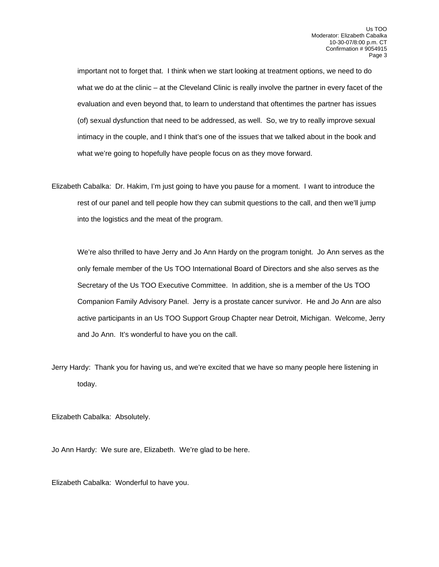important not to forget that. I think when we start looking at treatment options, we need to do what we do at the clinic – at the Cleveland Clinic is really involve the partner in every facet of the evaluation and even beyond that, to learn to understand that oftentimes the partner has issues (of) sexual dysfunction that need to be addressed, as well. So, we try to really improve sexual intimacy in the couple, and I think that's one of the issues that we talked about in the book and what we're going to hopefully have people focus on as they move forward.

Elizabeth Cabalka: Dr. Hakim, I'm just going to have you pause for a moment. I want to introduce the rest of our panel and tell people how they can submit questions to the call, and then we'll jump into the logistics and the meat of the program.

 We're also thrilled to have Jerry and Jo Ann Hardy on the program tonight. Jo Ann serves as the only female member of the Us TOO International Board of Directors and she also serves as the Secretary of the Us TOO Executive Committee. In addition, she is a member of the Us TOO Companion Family Advisory Panel. Jerry is a prostate cancer survivor. He and Jo Ann are also active participants in an Us TOO Support Group Chapter near Detroit, Michigan. Welcome, Jerry and Jo Ann. It's wonderful to have you on the call.

Jerry Hardy: Thank you for having us, and we're excited that we have so many people here listening in today.

Elizabeth Cabalka: Absolutely.

Jo Ann Hardy: We sure are, Elizabeth. We're glad to be here.

Elizabeth Cabalka: Wonderful to have you.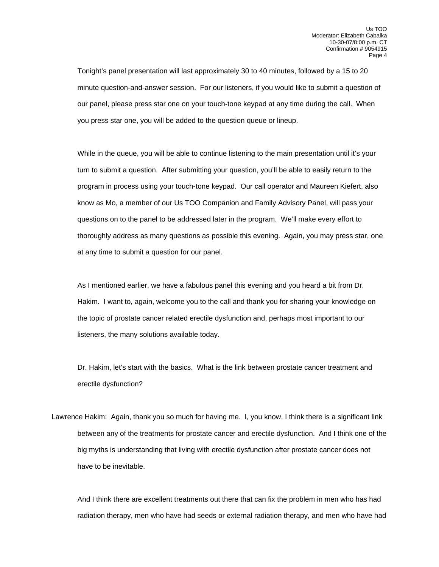Tonight's panel presentation will last approximately 30 to 40 minutes, followed by a 15 to 20 minute question-and-answer session. For our listeners, if you would like to submit a question of our panel, please press star one on your touch-tone keypad at any time during the call. When you press star one, you will be added to the question queue or lineup.

 While in the queue, you will be able to continue listening to the main presentation until it's your turn to submit a question. After submitting your question, you'll be able to easily return to the program in process using your touch-tone keypad. Our call operator and Maureen Kiefert, also know as Mo, a member of our Us TOO Companion and Family Advisory Panel, will pass your questions on to the panel to be addressed later in the program. We'll make every effort to thoroughly address as many questions as possible this evening. Again, you may press star, one at any time to submit a question for our panel.

 As I mentioned earlier, we have a fabulous panel this evening and you heard a bit from Dr. Hakim. I want to, again, welcome you to the call and thank you for sharing your knowledge on the topic of prostate cancer related erectile dysfunction and, perhaps most important to our listeners, the many solutions available today.

Dr. Hakim, let's start with the basics. What is the link between prostate cancer treatment and erectile dysfunction?

Lawrence Hakim: Again, thank you so much for having me. I, you know, I think there is a significant link between any of the treatments for prostate cancer and erectile dysfunction. And I think one of the big myths is understanding that living with erectile dysfunction after prostate cancer does not have to be inevitable.

 And I think there are excellent treatments out there that can fix the problem in men who has had radiation therapy, men who have had seeds or external radiation therapy, and men who have had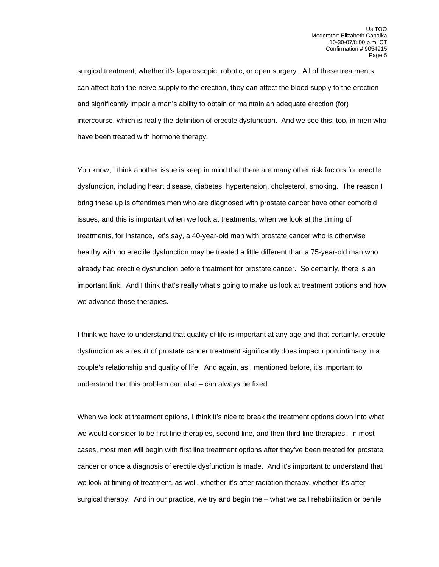surgical treatment, whether it's laparoscopic, robotic, or open surgery. All of these treatments can affect both the nerve supply to the erection, they can affect the blood supply to the erection and significantly impair a man's ability to obtain or maintain an adequate erection (for) intercourse, which is really the definition of erectile dysfunction. And we see this, too, in men who have been treated with hormone therapy.

 You know, I think another issue is keep in mind that there are many other risk factors for erectile dysfunction, including heart disease, diabetes, hypertension, cholesterol, smoking. The reason I bring these up is oftentimes men who are diagnosed with prostate cancer have other comorbid issues, and this is important when we look at treatments, when we look at the timing of treatments, for instance, let's say, a 40-year-old man with prostate cancer who is otherwise healthy with no erectile dysfunction may be treated a little different than a 75-year-old man who already had erectile dysfunction before treatment for prostate cancer. So certainly, there is an important link. And I think that's really what's going to make us look at treatment options and how we advance those therapies.

 I think we have to understand that quality of life is important at any age and that certainly, erectile dysfunction as a result of prostate cancer treatment significantly does impact upon intimacy in a couple's relationship and quality of life. And again, as I mentioned before, it's important to understand that this problem can also – can always be fixed.

 When we look at treatment options, I think it's nice to break the treatment options down into what we would consider to be first line therapies, second line, and then third line therapies. In most cases, most men will begin with first line treatment options after they've been treated for prostate cancer or once a diagnosis of erectile dysfunction is made. And it's important to understand that we look at timing of treatment, as well, whether it's after radiation therapy, whether it's after surgical therapy. And in our practice, we try and begin the – what we call rehabilitation or penile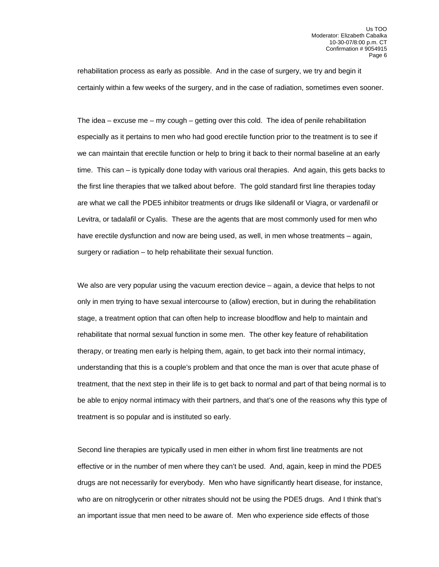rehabilitation process as early as possible. And in the case of surgery, we try and begin it certainly within a few weeks of the surgery, and in the case of radiation, sometimes even sooner.

 The idea – excuse me – my cough – getting over this cold. The idea of penile rehabilitation especially as it pertains to men who had good erectile function prior to the treatment is to see if we can maintain that erectile function or help to bring it back to their normal baseline at an early time. This can – is typically done today with various oral therapies. And again, this gets backs to the first line therapies that we talked about before. The gold standard first line therapies today are what we call the PDE5 inhibitor treatments or drugs like sildenafil or Viagra, or vardenafil or Levitra, or tadalafil or Cyalis. These are the agents that are most commonly used for men who have erectile dysfunction and now are being used, as well, in men whose treatments – again, surgery or radiation – to help rehabilitate their sexual function.

We also are very popular using the vacuum erection device – again, a device that helps to not only in men trying to have sexual intercourse to (allow) erection, but in during the rehabilitation stage, a treatment option that can often help to increase bloodflow and help to maintain and rehabilitate that normal sexual function in some men. The other key feature of rehabilitation therapy, or treating men early is helping them, again, to get back into their normal intimacy, understanding that this is a couple's problem and that once the man is over that acute phase of treatment, that the next step in their life is to get back to normal and part of that being normal is to be able to enjoy normal intimacy with their partners, and that's one of the reasons why this type of treatment is so popular and is instituted so early.

 Second line therapies are typically used in men either in whom first line treatments are not effective or in the number of men where they can't be used. And, again, keep in mind the PDE5 drugs are not necessarily for everybody. Men who have significantly heart disease, for instance, who are on nitroglycerin or other nitrates should not be using the PDE5 drugs. And I think that's an important issue that men need to be aware of. Men who experience side effects of those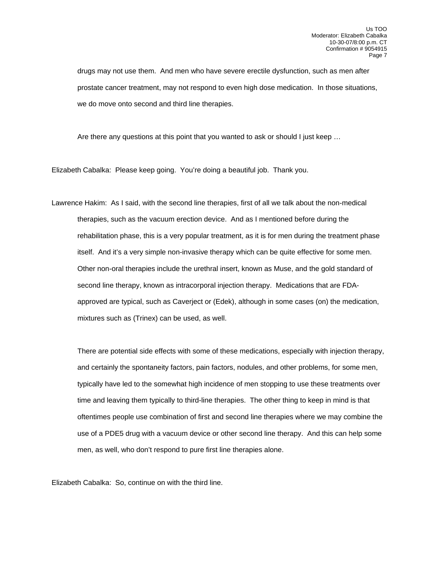drugs may not use them. And men who have severe erectile dysfunction, such as men after prostate cancer treatment, may not respond to even high dose medication. In those situations, we do move onto second and third line therapies.

Are there any questions at this point that you wanted to ask or should I just keep ...

Elizabeth Cabalka: Please keep going. You're doing a beautiful job. Thank you.

Lawrence Hakim: As I said, with the second line therapies, first of all we talk about the non-medical therapies, such as the vacuum erection device. And as I mentioned before during the rehabilitation phase, this is a very popular treatment, as it is for men during the treatment phase itself. And it's a very simple non-invasive therapy which can be quite effective for some men. Other non-oral therapies include the urethral insert, known as Muse, and the gold standard of second line therapy, known as intracorporal injection therapy. Medications that are FDAapproved are typical, such as Caverject or (Edek), although in some cases (on) the medication, mixtures such as (Trinex) can be used, as well.

 There are potential side effects with some of these medications, especially with injection therapy, and certainly the spontaneity factors, pain factors, nodules, and other problems, for some men, typically have led to the somewhat high incidence of men stopping to use these treatments over time and leaving them typically to third-line therapies. The other thing to keep in mind is that oftentimes people use combination of first and second line therapies where we may combine the use of a PDE5 drug with a vacuum device or other second line therapy. And this can help some men, as well, who don't respond to pure first line therapies alone.

Elizabeth Cabalka: So, continue on with the third line.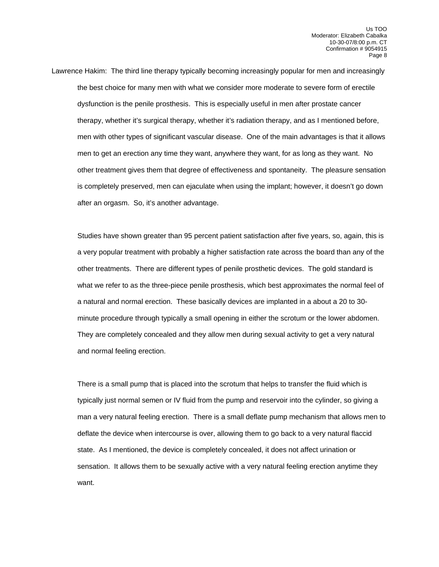Lawrence Hakim: The third line therapy typically becoming increasingly popular for men and increasingly the best choice for many men with what we consider more moderate to severe form of erectile dysfunction is the penile prosthesis. This is especially useful in men after prostate cancer therapy, whether it's surgical therapy, whether it's radiation therapy, and as I mentioned before, men with other types of significant vascular disease. One of the main advantages is that it allows men to get an erection any time they want, anywhere they want, for as long as they want. No other treatment gives them that degree of effectiveness and spontaneity. The pleasure sensation is completely preserved, men can ejaculate when using the implant; however, it doesn't go down after an orgasm. So, it's another advantage.

 Studies have shown greater than 95 percent patient satisfaction after five years, so, again, this is a very popular treatment with probably a higher satisfaction rate across the board than any of the other treatments. There are different types of penile prosthetic devices. The gold standard is what we refer to as the three-piece penile prosthesis, which best approximates the normal feel of a natural and normal erection. These basically devices are implanted in a about a 20 to 30 minute procedure through typically a small opening in either the scrotum or the lower abdomen. They are completely concealed and they allow men during sexual activity to get a very natural and normal feeling erection.

 There is a small pump that is placed into the scrotum that helps to transfer the fluid which is typically just normal semen or IV fluid from the pump and reservoir into the cylinder, so giving a man a very natural feeling erection. There is a small deflate pump mechanism that allows men to deflate the device when intercourse is over, allowing them to go back to a very natural flaccid state. As I mentioned, the device is completely concealed, it does not affect urination or sensation. It allows them to be sexually active with a very natural feeling erection anytime they want.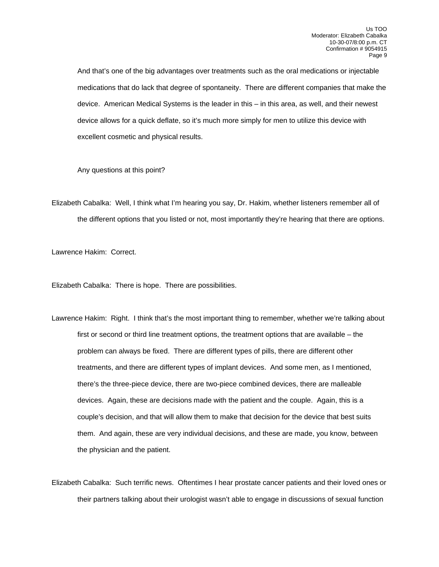And that's one of the big advantages over treatments such as the oral medications or injectable medications that do lack that degree of spontaneity. There are different companies that make the device. American Medical Systems is the leader in this – in this area, as well, and their newest device allows for a quick deflate, so it's much more simply for men to utilize this device with excellent cosmetic and physical results.

Any questions at this point?

Elizabeth Cabalka: Well, I think what I'm hearing you say, Dr. Hakim, whether listeners remember all of the different options that you listed or not, most importantly they're hearing that there are options.

Lawrence Hakim: Correct.

Elizabeth Cabalka: There is hope. There are possibilities.

Lawrence Hakim: Right. I think that's the most important thing to remember, whether we're talking about first or second or third line treatment options, the treatment options that are available – the problem can always be fixed. There are different types of pills, there are different other treatments, and there are different types of implant devices. And some men, as I mentioned, there's the three-piece device, there are two-piece combined devices, there are malleable devices. Again, these are decisions made with the patient and the couple. Again, this is a couple's decision, and that will allow them to make that decision for the device that best suits them. And again, these are very individual decisions, and these are made, you know, between the physician and the patient.

Elizabeth Cabalka: Such terrific news. Oftentimes I hear prostate cancer patients and their loved ones or their partners talking about their urologist wasn't able to engage in discussions of sexual function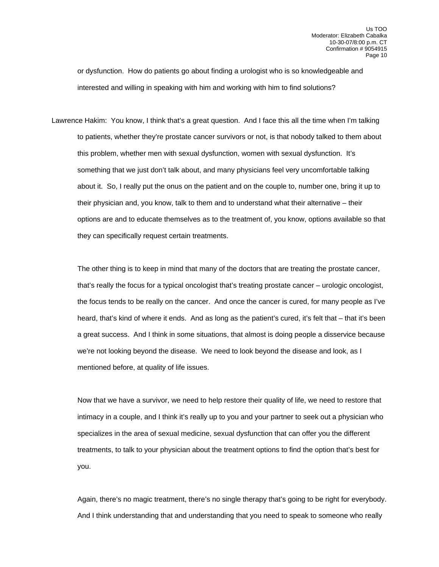or dysfunction. How do patients go about finding a urologist who is so knowledgeable and interested and willing in speaking with him and working with him to find solutions?

Lawrence Hakim: You know, I think that's a great question. And I face this all the time when I'm talking to patients, whether they're prostate cancer survivors or not, is that nobody talked to them about this problem, whether men with sexual dysfunction, women with sexual dysfunction. It's something that we just don't talk about, and many physicians feel very uncomfortable talking about it. So, I really put the onus on the patient and on the couple to, number one, bring it up to their physician and, you know, talk to them and to understand what their alternative – their options are and to educate themselves as to the treatment of, you know, options available so that they can specifically request certain treatments.

 The other thing is to keep in mind that many of the doctors that are treating the prostate cancer, that's really the focus for a typical oncologist that's treating prostate cancer – urologic oncologist, the focus tends to be really on the cancer. And once the cancer is cured, for many people as I've heard, that's kind of where it ends. And as long as the patient's cured, it's felt that – that it's been a great success. And I think in some situations, that almost is doing people a disservice because we're not looking beyond the disease. We need to look beyond the disease and look, as I mentioned before, at quality of life issues.

Now that we have a survivor, we need to help restore their quality of life, we need to restore that intimacy in a couple, and I think it's really up to you and your partner to seek out a physician who specializes in the area of sexual medicine, sexual dysfunction that can offer you the different treatments, to talk to your physician about the treatment options to find the option that's best for you.

 Again, there's no magic treatment, there's no single therapy that's going to be right for everybody. And I think understanding that and understanding that you need to speak to someone who really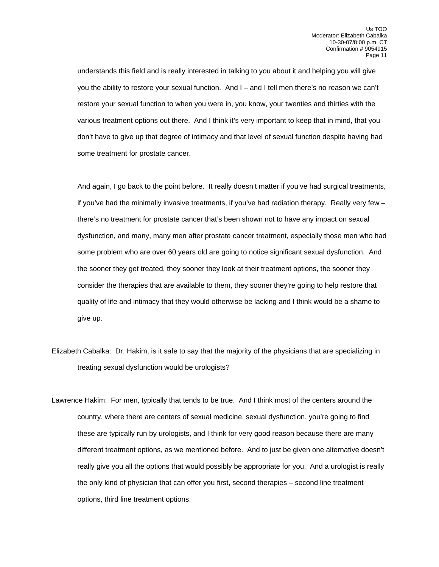understands this field and is really interested in talking to you about it and helping you will give you the ability to restore your sexual function. And I – and I tell men there's no reason we can't restore your sexual function to when you were in, you know, your twenties and thirties with the various treatment options out there. And I think it's very important to keep that in mind, that you don't have to give up that degree of intimacy and that level of sexual function despite having had some treatment for prostate cancer.

 And again, I go back to the point before. It really doesn't matter if you've had surgical treatments, if you've had the minimally invasive treatments, if you've had radiation therapy. Really very few – there's no treatment for prostate cancer that's been shown not to have any impact on sexual dysfunction, and many, many men after prostate cancer treatment, especially those men who had some problem who are over 60 years old are going to notice significant sexual dysfunction. And the sooner they get treated, they sooner they look at their treatment options, the sooner they consider the therapies that are available to them, they sooner they're going to help restore that quality of life and intimacy that they would otherwise be lacking and I think would be a shame to give up.

- Elizabeth Cabalka: Dr. Hakim, is it safe to say that the majority of the physicians that are specializing in treating sexual dysfunction would be urologists?
- Lawrence Hakim: For men, typically that tends to be true. And I think most of the centers around the country, where there are centers of sexual medicine, sexual dysfunction, you're going to find these are typically run by urologists, and I think for very good reason because there are many different treatment options, as we mentioned before. And to just be given one alternative doesn't really give you all the options that would possibly be appropriate for you. And a urologist is really the only kind of physician that can offer you first, second therapies – second line treatment options, third line treatment options.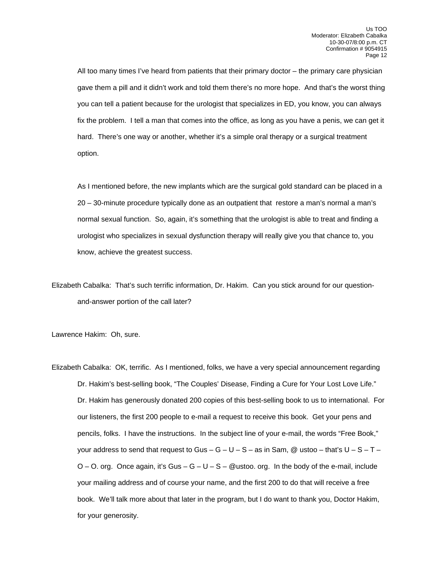All too many times I've heard from patients that their primary doctor – the primary care physician gave them a pill and it didn't work and told them there's no more hope. And that's the worst thing you can tell a patient because for the urologist that specializes in ED, you know, you can always fix the problem. I tell a man that comes into the office, as long as you have a penis, we can get it hard. There's one way or another, whether it's a simple oral therapy or a surgical treatment option.

As I mentioned before, the new implants which are the surgical gold standard can be placed in a 20 – 30-minute procedure typically done as an outpatient that restore a man's normal a man's normal sexual function. So, again, it's something that the urologist is able to treat and finding a urologist who specializes in sexual dysfunction therapy will really give you that chance to, you know, achieve the greatest success.

Elizabeth Cabalka: That's such terrific information, Dr. Hakim. Can you stick around for our questionand-answer portion of the call later?

Lawrence Hakim: Oh, sure.

Elizabeth Cabalka: OK, terrific. As I mentioned, folks, we have a very special announcement regarding Dr. Hakim's best-selling book, "The Couples' Disease, Finding a Cure for Your Lost Love Life." Dr. Hakim has generously donated 200 copies of this best-selling book to us to international. For our listeners, the first 200 people to e-mail a request to receive this book. Get your pens and pencils, folks. I have the instructions. In the subject line of your e-mail, the words "Free Book," your address to send that request to Gus –  $G - U - S -$  as in Sam, @ ustoo – that's  $U - S - T O - O$ . org. Once again, it's Gus  $- G - U - S - Q$ ustoo. org. In the body of the e-mail, include your mailing address and of course your name, and the first 200 to do that will receive a free book. We'll talk more about that later in the program, but I do want to thank you, Doctor Hakim, for your generosity.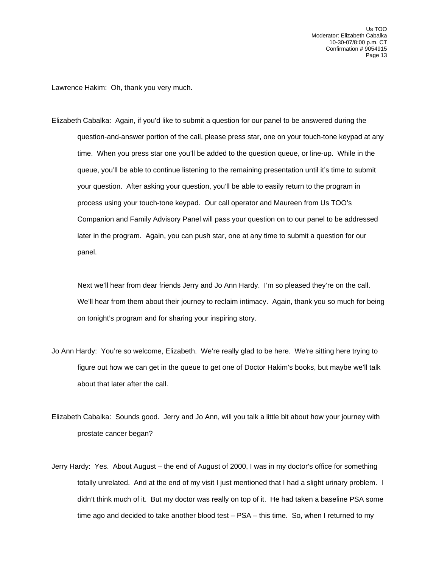Lawrence Hakim: Oh, thank you very much.

Elizabeth Cabalka: Again, if you'd like to submit a question for our panel to be answered during the question-and-answer portion of the call, please press star, one on your touch-tone keypad at any time. When you press star one you'll be added to the question queue, or line-up. While in the queue, you'll be able to continue listening to the remaining presentation until it's time to submit your question. After asking your question, you'll be able to easily return to the program in process using your touch-tone keypad. Our call operator and Maureen from Us TOO's Companion and Family Advisory Panel will pass your question on to our panel to be addressed later in the program. Again, you can push star, one at any time to submit a question for our panel.

 Next we'll hear from dear friends Jerry and Jo Ann Hardy. I'm so pleased they're on the call. We'll hear from them about their journey to reclaim intimacy. Again, thank you so much for being on tonight's program and for sharing your inspiring story.

- Jo Ann Hardy: You're so welcome, Elizabeth. We're really glad to be here. We're sitting here trying to figure out how we can get in the queue to get one of Doctor Hakim's books, but maybe we'll talk about that later after the call.
- Elizabeth Cabalka: Sounds good. Jerry and Jo Ann, will you talk a little bit about how your journey with prostate cancer began?
- Jerry Hardy: Yes. About August the end of August of 2000, I was in my doctor's office for something totally unrelated. And at the end of my visit I just mentioned that I had a slight urinary problem. I didn't think much of it. But my doctor was really on top of it. He had taken a baseline PSA some time ago and decided to take another blood test - PSA - this time. So, when I returned to my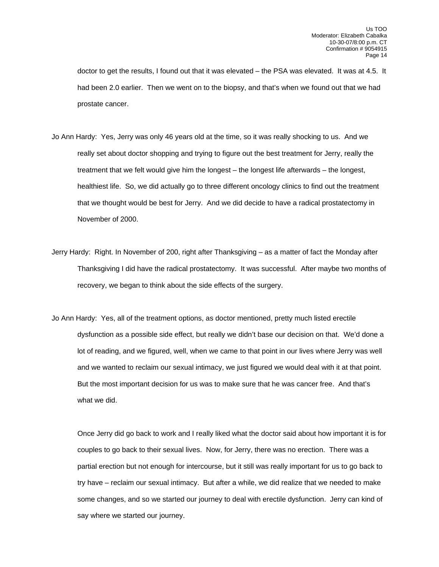doctor to get the results, I found out that it was elevated – the PSA was elevated. It was at 4.5. It had been 2.0 earlier. Then we went on to the biopsy, and that's when we found out that we had prostate cancer.

- Jo Ann Hardy: Yes, Jerry was only 46 years old at the time, so it was really shocking to us. And we really set about doctor shopping and trying to figure out the best treatment for Jerry, really the treatment that we felt would give him the longest – the longest life afterwards – the longest, healthiest life. So, we did actually go to three different oncology clinics to find out the treatment that we thought would be best for Jerry. And we did decide to have a radical prostatectomy in November of 2000.
- Jerry Hardy: Right. In November of 200, right after Thanksgiving as a matter of fact the Monday after Thanksgiving I did have the radical prostatectomy. It was successful. After maybe two months of recovery, we began to think about the side effects of the surgery.
- Jo Ann Hardy: Yes, all of the treatment options, as doctor mentioned, pretty much listed erectile dysfunction as a possible side effect, but really we didn't base our decision on that. We'd done a lot of reading, and we figured, well, when we came to that point in our lives where Jerry was well and we wanted to reclaim our sexual intimacy, we just figured we would deal with it at that point. But the most important decision for us was to make sure that he was cancer free. And that's what we did.

 Once Jerry did go back to work and I really liked what the doctor said about how important it is for couples to go back to their sexual lives. Now, for Jerry, there was no erection. There was a partial erection but not enough for intercourse, but it still was really important for us to go back to try have – reclaim our sexual intimacy. But after a while, we did realize that we needed to make some changes, and so we started our journey to deal with erectile dysfunction. Jerry can kind of say where we started our journey.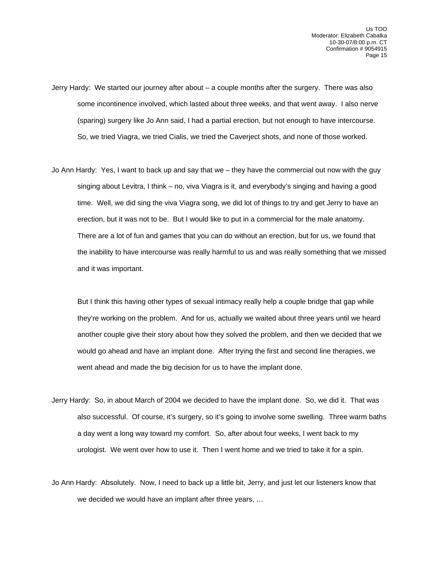- Jerry Hardy: We started our journey after about a couple months after the surgery. There was also some incontinence involved, which lasted about three weeks, and that went away. I also nerve (sparing) surgery like Jo Ann said, I had a partial erection, but not enough to have intercourse. So, we tried Viagra, we tried Cialis, we tried the Caverject shots, and none of those worked.
- Jo Ann Hardy: Yes, I want to back up and say that we they have the commercial out now with the guy singing about Levitra, I think – no, viva Viagra is it, and everybody's singing and having a good time. Well, we did sing the viva Viagra song, we did lot of things to try and get Jerry to have an erection, but it was not to be. But I would like to put in a commercial for the male anatomy. There are a lot of fun and games that you can do without an erection, but for us, we found that the inability to have intercourse was really harmful to us and was really something that we missed and it was important.

 But I think this having other types of sexual intimacy really help a couple bridge that gap while they're working on the problem. And for us, actually we waited about three years until we heard another couple give their story about how they solved the problem, and then we decided that we would go ahead and have an implant done. After trying the first and second line therapies, we went ahead and made the big decision for us to have the implant done.

- Jerry Hardy: So, in about March of 2004 we decided to have the implant done. So, we did it. That was also successful. Of course, it's surgery, so it's going to involve some swelling. Three warm baths a day went a long way toward my comfort. So, after about four weeks, I went back to my urologist. We went over how to use it. Then I went home and we tried to take it for a spin.
- Jo Ann Hardy: Absolutely. Now, I need to back up a little bit, Jerry, and just let our listeners know that we decided we would have an implant after three years, …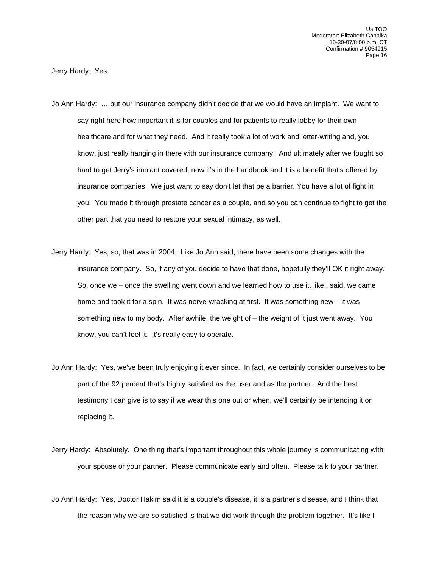Jerry Hardy: Yes.

- Jo Ann Hardy: … but our insurance company didn't decide that we would have an implant. We want to say right here how important it is for couples and for patients to really lobby for their own healthcare and for what they need. And it really took a lot of work and letter-writing and, you know, just really hanging in there with our insurance company. And ultimately after we fought so hard to get Jerry's implant covered, now it's in the handbook and it is a benefit that's offered by insurance companies. We just want to say don't let that be a barrier. You have a lot of fight in you. You made it through prostate cancer as a couple, and so you can continue to fight to get the other part that you need to restore your sexual intimacy, as well.
- Jerry Hardy: Yes, so, that was in 2004. Like Jo Ann said, there have been some changes with the insurance company. So, if any of you decide to have that done, hopefully they'll OK it right away. So, once we – once the swelling went down and we learned how to use it, like I said, we came home and took it for a spin. It was nerve-wracking at first. It was something new – it was something new to my body. After awhile, the weight of – the weight of it just went away. You know, you can't feel it. It's really easy to operate.
- Jo Ann Hardy: Yes, we've been truly enjoying it ever since. In fact, we certainly consider ourselves to be part of the 92 percent that's highly satisfied as the user and as the partner. And the best testimony I can give is to say if we wear this one out or when, we'll certainly be intending it on replacing it.
- Jerry Hardy: Absolutely. One thing that's important throughout this whole journey is communicating with your spouse or your partner. Please communicate early and often. Please talk to your partner.
- Jo Ann Hardy: Yes, Doctor Hakim said it is a couple's disease, it is a partner's disease, and I think that the reason why we are so satisfied is that we did work through the problem together. It's like I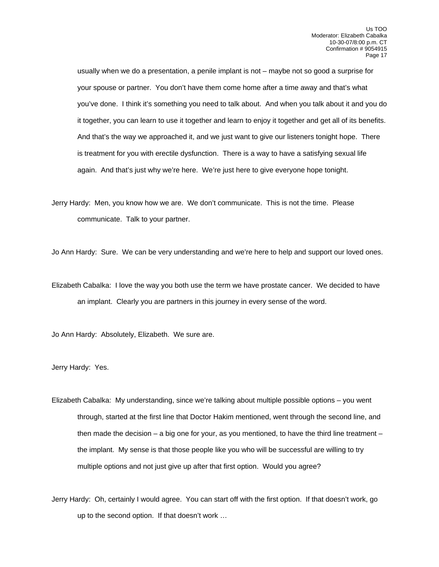usually when we do a presentation, a penile implant is not – maybe not so good a surprise for your spouse or partner. You don't have them come home after a time away and that's what you've done. I think it's something you need to talk about. And when you talk about it and you do it together, you can learn to use it together and learn to enjoy it together and get all of its benefits. And that's the way we approached it, and we just want to give our listeners tonight hope. There is treatment for you with erectile dysfunction. There is a way to have a satisfying sexual life again. And that's just why we're here. We're just here to give everyone hope tonight.

Jerry Hardy: Men, you know how we are. We don't communicate. This is not the time. Please communicate. Talk to your partner.

Jo Ann Hardy: Sure. We can be very understanding and we're here to help and support our loved ones.

Elizabeth Cabalka: I love the way you both use the term we have prostate cancer. We decided to have an implant. Clearly you are partners in this journey in every sense of the word.

Jo Ann Hardy: Absolutely, Elizabeth. We sure are.

Jerry Hardy: Yes.

Elizabeth Cabalka: My understanding, since we're talking about multiple possible options – you went through, started at the first line that Doctor Hakim mentioned, went through the second line, and then made the decision  $-$  a big one for your, as you mentioned, to have the third line treatment  $$ the implant. My sense is that those people like you who will be successful are willing to try multiple options and not just give up after that first option. Would you agree?

Jerry Hardy: Oh, certainly I would agree. You can start off with the first option. If that doesn't work, go up to the second option. If that doesn't work …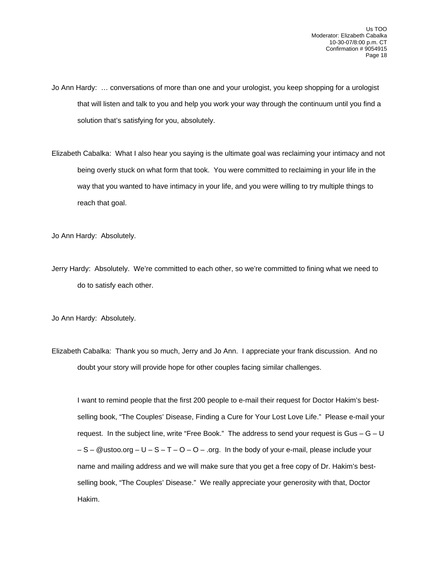- Jo Ann Hardy: … conversations of more than one and your urologist, you keep shopping for a urologist that will listen and talk to you and help you work your way through the continuum until you find a solution that's satisfying for you, absolutely.
- Elizabeth Cabalka: What I also hear you saying is the ultimate goal was reclaiming your intimacy and not being overly stuck on what form that took. You were committed to reclaiming in your life in the way that you wanted to have intimacy in your life, and you were willing to try multiple things to reach that goal.

Jo Ann Hardy: Absolutely.

Jerry Hardy: Absolutely. We're committed to each other, so we're committed to fining what we need to do to satisfy each other.

Jo Ann Hardy: Absolutely.

Elizabeth Cabalka: Thank you so much, Jerry and Jo Ann. I appreciate your frank discussion. And no doubt your story will provide hope for other couples facing similar challenges.

 I want to remind people that the first 200 people to e-mail their request for Doctor Hakim's bestselling book, "The Couples' Disease, Finding a Cure for Your Lost Love Life." Please e-mail your request. In the subject line, write "Free Book." The address to send your request is Gus  $-$  G  $-$  U  $- S - Q$ ustoo.org  $- U - S - T - O - O -$  .org. In the body of your e-mail, please include your name and mailing address and we will make sure that you get a free copy of Dr. Hakim's bestselling book, "The Couples' Disease." We really appreciate your generosity with that, Doctor Hakim.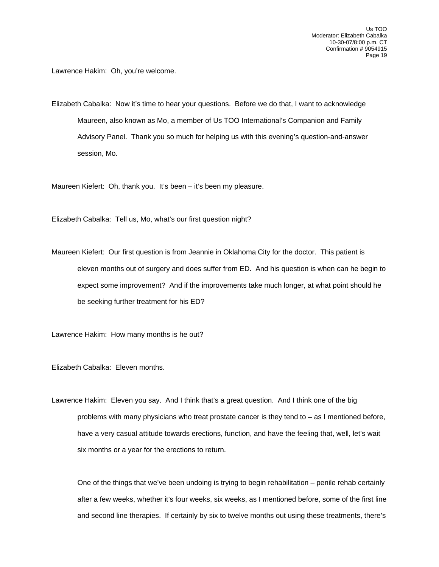Lawrence Hakim: Oh, you're welcome.

Elizabeth Cabalka: Now it's time to hear your questions. Before we do that, I want to acknowledge Maureen, also known as Mo, a member of Us TOO International's Companion and Family Advisory Panel. Thank you so much for helping us with this evening's question-and-answer session, Mo.

Maureen Kiefert: Oh, thank you. It's been – it's been my pleasure.

Elizabeth Cabalka: Tell us, Mo, what's our first question night?

Maureen Kiefert: Our first question is from Jeannie in Oklahoma City for the doctor. This patient is eleven months out of surgery and does suffer from ED. And his question is when can he begin to expect some improvement? And if the improvements take much longer, at what point should he be seeking further treatment for his ED?

Lawrence Hakim: How many months is he out?

Elizabeth Cabalka: Eleven months.

Lawrence Hakim: Eleven you say. And I think that's a great question. And I think one of the big problems with many physicians who treat prostate cancer is they tend to – as I mentioned before, have a very casual attitude towards erections, function, and have the feeling that, well, let's wait six months or a year for the erections to return.

 One of the things that we've been undoing is trying to begin rehabilitation – penile rehab certainly after a few weeks, whether it's four weeks, six weeks, as I mentioned before, some of the first line and second line therapies. If certainly by six to twelve months out using these treatments, there's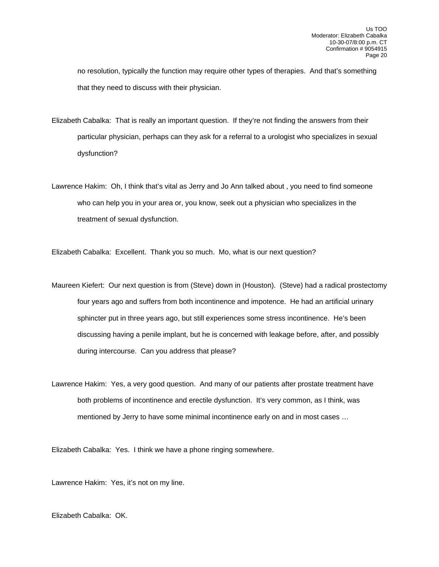no resolution, typically the function may require other types of therapies. And that's something that they need to discuss with their physician.

- Elizabeth Cabalka: That is really an important question. If they're not finding the answers from their particular physician, perhaps can they ask for a referral to a urologist who specializes in sexual dysfunction?
- Lawrence Hakim: Oh, I think that's vital as Jerry and Jo Ann talked about , you need to find someone who can help you in your area or, you know, seek out a physician who specializes in the treatment of sexual dysfunction.

Elizabeth Cabalka: Excellent. Thank you so much. Mo, what is our next question?

- Maureen Kiefert: Our next question is from (Steve) down in (Houston). (Steve) had a radical prostectomy four years ago and suffers from both incontinence and impotence. He had an artificial urinary sphincter put in three years ago, but still experiences some stress incontinence. He's been discussing having a penile implant, but he is concerned with leakage before, after, and possibly during intercourse. Can you address that please?
- Lawrence Hakim: Yes, a very good question. And many of our patients after prostate treatment have both problems of incontinence and erectile dysfunction. It's very common, as I think, was mentioned by Jerry to have some minimal incontinence early on and in most cases …

Elizabeth Cabalka: Yes. I think we have a phone ringing somewhere.

Lawrence Hakim: Yes, it's not on my line.

Elizabeth Cabalka: OK.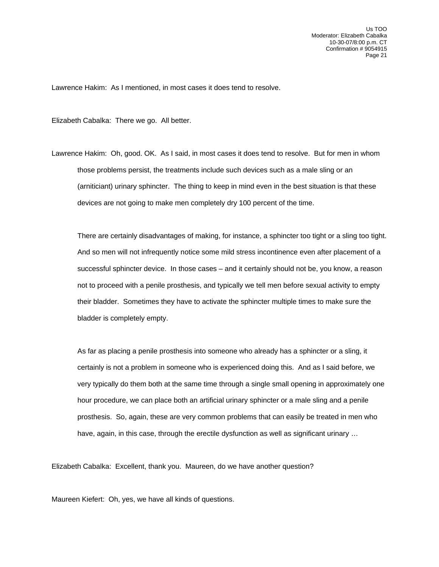Lawrence Hakim: As I mentioned, in most cases it does tend to resolve.

Elizabeth Cabalka: There we go. All better.

Lawrence Hakim: Oh, good. OK. As I said, in most cases it does tend to resolve. But for men in whom those problems persist, the treatments include such devices such as a male sling or an (arniticiant) urinary sphincter. The thing to keep in mind even in the best situation is that these devices are not going to make men completely dry 100 percent of the time.

 There are certainly disadvantages of making, for instance, a sphincter too tight or a sling too tight. And so men will not infrequently notice some mild stress incontinence even after placement of a successful sphincter device. In those cases – and it certainly should not be, you know, a reason not to proceed with a penile prosthesis, and typically we tell men before sexual activity to empty their bladder. Sometimes they have to activate the sphincter multiple times to make sure the bladder is completely empty.

 As far as placing a penile prosthesis into someone who already has a sphincter or a sling, it certainly is not a problem in someone who is experienced doing this. And as I said before, we very typically do them both at the same time through a single small opening in approximately one hour procedure, we can place both an artificial urinary sphincter or a male sling and a penile prosthesis. So, again, these are very common problems that can easily be treated in men who have, again, in this case, through the erectile dysfunction as well as significant urinary ...

Elizabeth Cabalka: Excellent, thank you. Maureen, do we have another question?

Maureen Kiefert: Oh, yes, we have all kinds of questions.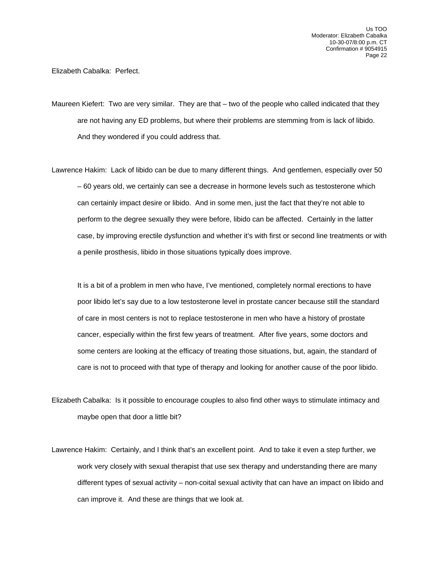Elizabeth Cabalka: Perfect.

Maureen Kiefert: Two are very similar. They are that – two of the people who called indicated that they are not having any ED problems, but where their problems are stemming from is lack of libido. And they wondered if you could address that.

Lawrence Hakim: Lack of libido can be due to many different things. And gentlemen, especially over 50 – 60 years old, we certainly can see a decrease in hormone levels such as testosterone which can certainly impact desire or libido. And in some men, just the fact that they're not able to perform to the degree sexually they were before, libido can be affected. Certainly in the latter case, by improving erectile dysfunction and whether it's with first or second line treatments or with a penile prosthesis, libido in those situations typically does improve.

 It is a bit of a problem in men who have, I've mentioned, completely normal erections to have poor libido let's say due to a low testosterone level in prostate cancer because still the standard of care in most centers is not to replace testosterone in men who have a history of prostate cancer, especially within the first few years of treatment. After five years, some doctors and some centers are looking at the efficacy of treating those situations, but, again, the standard of care is not to proceed with that type of therapy and looking for another cause of the poor libido.

- Elizabeth Cabalka: Is it possible to encourage couples to also find other ways to stimulate intimacy and maybe open that door a little bit?
- Lawrence Hakim: Certainly, and I think that's an excellent point. And to take it even a step further, we work very closely with sexual therapist that use sex therapy and understanding there are many different types of sexual activity – non-coital sexual activity that can have an impact on libido and can improve it. And these are things that we look at.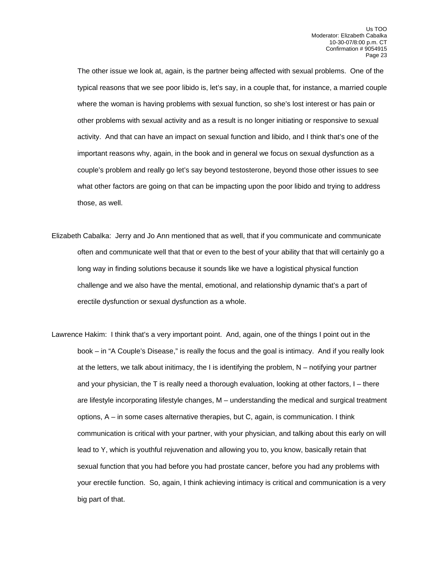The other issue we look at, again, is the partner being affected with sexual problems. One of the typical reasons that we see poor libido is, let's say, in a couple that, for instance, a married couple where the woman is having problems with sexual function, so she's lost interest or has pain or other problems with sexual activity and as a result is no longer initiating or responsive to sexual activity. And that can have an impact on sexual function and libido, and I think that's one of the important reasons why, again, in the book and in general we focus on sexual dysfunction as a couple's problem and really go let's say beyond testosterone, beyond those other issues to see what other factors are going on that can be impacting upon the poor libido and trying to address those, as well.

- Elizabeth Cabalka: Jerry and Jo Ann mentioned that as well, that if you communicate and communicate often and communicate well that that or even to the best of your ability that that will certainly go a long way in finding solutions because it sounds like we have a logistical physical function challenge and we also have the mental, emotional, and relationship dynamic that's a part of erectile dysfunction or sexual dysfunction as a whole.
- Lawrence Hakim: I think that's a very important point. And, again, one of the things I point out in the book – in "A Couple's Disease," is really the focus and the goal is intimacy. And if you really look at the letters, we talk about initimacy, the I is identifying the problem, N – notifying your partner and your physician, the T is really need a thorough evaluation, looking at other factors, I – there are lifestyle incorporating lifestyle changes, M – understanding the medical and surgical treatment options, A – in some cases alternative therapies, but C, again, is communication. I think communication is critical with your partner, with your physician, and talking about this early on will lead to Y, which is youthful rejuvenation and allowing you to, you know, basically retain that sexual function that you had before you had prostate cancer, before you had any problems with your erectile function. So, again, I think achieving intimacy is critical and communication is a very big part of that.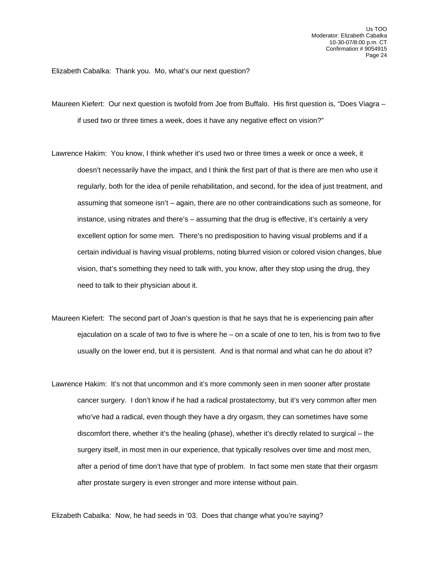Elizabeth Cabalka: Thank you. Mo, what's our next question?

Maureen Kiefert: Our next question is twofold from Joe from Buffalo. His first question is, "Does Viagra – if used two or three times a week, does it have any negative effect on vision?"

Lawrence Hakim: You know, I think whether it's used two or three times a week or once a week, it doesn't necessarily have the impact, and I think the first part of that is there are men who use it regularly, both for the idea of penile rehabilitation, and second, for the idea of just treatment, and assuming that someone isn't – again, there are no other contraindications such as someone, for instance, using nitrates and there's – assuming that the drug is effective, it's certainly a very excellent option for some men. There's no predisposition to having visual problems and if a certain individual is having visual problems, noting blurred vision or colored vision changes, blue vision, that's something they need to talk with, you know, after they stop using the drug, they need to talk to their physician about it.

- Maureen Kiefert: The second part of Joan's question is that he says that he is experiencing pain after ejaculation on a scale of two to five is where he – on a scale of one to ten, his is from two to five usually on the lower end, but it is persistent. And is that normal and what can he do about it?
- Lawrence Hakim: It's not that uncommon and it's more commonly seen in men sooner after prostate cancer surgery. I don't know if he had a radical prostatectomy, but it's very common after men who've had a radical, even though they have a dry orgasm, they can sometimes have some discomfort there, whether it's the healing (phase), whether it's directly related to surgical – the surgery itself, in most men in our experience, that typically resolves over time and most men, after a period of time don't have that type of problem. In fact some men state that their orgasm after prostate surgery is even stronger and more intense without pain.

Elizabeth Cabalka: Now, he had seeds in '03. Does that change what you're saying?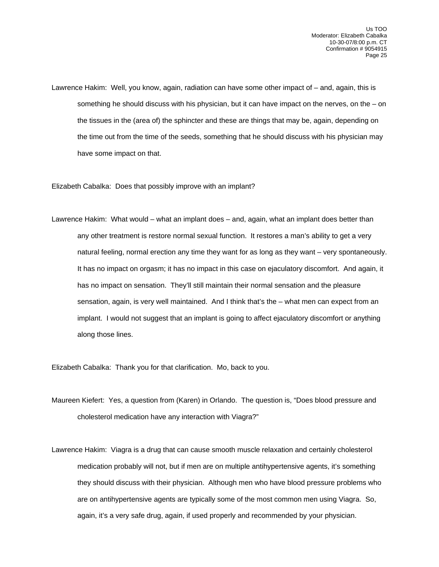Lawrence Hakim: Well, you know, again, radiation can have some other impact of – and, again, this is something he should discuss with his physician, but it can have impact on the nerves, on the – on the tissues in the (area of) the sphincter and these are things that may be, again, depending on the time out from the time of the seeds, something that he should discuss with his physician may have some impact on that.

Elizabeth Cabalka: Does that possibly improve with an implant?

Lawrence Hakim: What would – what an implant does – and, again, what an implant does better than any other treatment is restore normal sexual function. It restores a man's ability to get a very natural feeling, normal erection any time they want for as long as they want – very spontaneously. It has no impact on orgasm; it has no impact in this case on ejaculatory discomfort. And again, it has no impact on sensation. They'll still maintain their normal sensation and the pleasure sensation, again, is very well maintained. And I think that's the – what men can expect from an implant. I would not suggest that an implant is going to affect ejaculatory discomfort or anything along those lines.

Elizabeth Cabalka: Thank you for that clarification. Mo, back to you.

- Maureen Kiefert: Yes, a question from (Karen) in Orlando. The question is, "Does blood pressure and cholesterol medication have any interaction with Viagra?"
- Lawrence Hakim: Viagra is a drug that can cause smooth muscle relaxation and certainly cholesterol medication probably will not, but if men are on multiple antihypertensive agents, it's something they should discuss with their physician. Although men who have blood pressure problems who are on antihypertensive agents are typically some of the most common men using Viagra. So, again, it's a very safe drug, again, if used properly and recommended by your physician.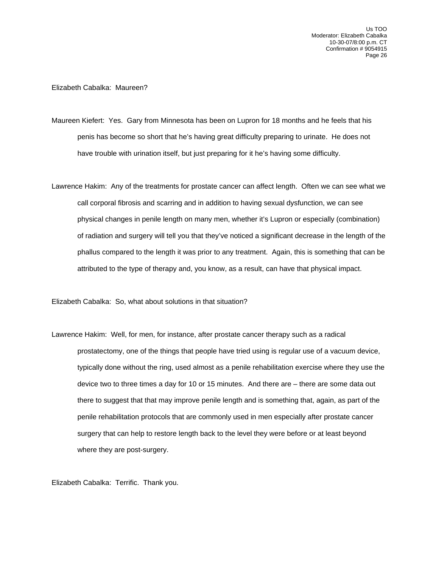## Elizabeth Cabalka: Maureen?

- Maureen Kiefert: Yes. Gary from Minnesota has been on Lupron for 18 months and he feels that his penis has become so short that he's having great difficulty preparing to urinate. He does not have trouble with urination itself, but just preparing for it he's having some difficulty.
- Lawrence Hakim: Any of the treatments for prostate cancer can affect length. Often we can see what we call corporal fibrosis and scarring and in addition to having sexual dysfunction, we can see physical changes in penile length on many men, whether it's Lupron or especially (combination) of radiation and surgery will tell you that they've noticed a significant decrease in the length of the phallus compared to the length it was prior to any treatment. Again, this is something that can be attributed to the type of therapy and, you know, as a result, can have that physical impact.

Elizabeth Cabalka: So, what about solutions in that situation?

Lawrence Hakim: Well, for men, for instance, after prostate cancer therapy such as a radical prostatectomy, one of the things that people have tried using is regular use of a vacuum device, typically done without the ring, used almost as a penile rehabilitation exercise where they use the device two to three times a day for 10 or 15 minutes. And there are – there are some data out there to suggest that that may improve penile length and is something that, again, as part of the penile rehabilitation protocols that are commonly used in men especially after prostate cancer surgery that can help to restore length back to the level they were before or at least beyond where they are post-surgery.

Elizabeth Cabalka: Terrific. Thank you.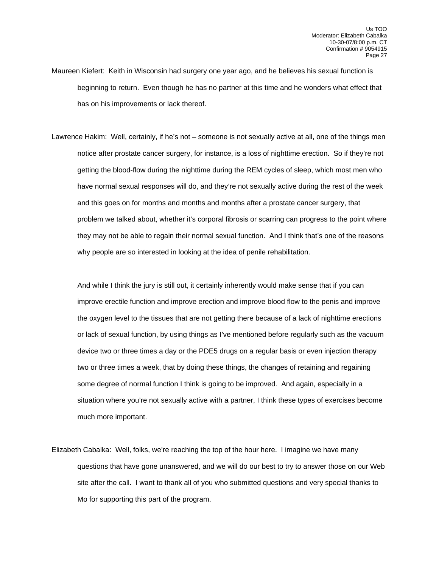- Maureen Kiefert: Keith in Wisconsin had surgery one year ago, and he believes his sexual function is beginning to return. Even though he has no partner at this time and he wonders what effect that has on his improvements or lack thereof.
- Lawrence Hakim: Well, certainly, if he's not someone is not sexually active at all, one of the things men notice after prostate cancer surgery, for instance, is a loss of nighttime erection. So if they're not getting the blood-flow during the nighttime during the REM cycles of sleep, which most men who have normal sexual responses will do, and they're not sexually active during the rest of the week and this goes on for months and months and months after a prostate cancer surgery, that problem we talked about, whether it's corporal fibrosis or scarring can progress to the point where they may not be able to regain their normal sexual function. And I think that's one of the reasons why people are so interested in looking at the idea of penile rehabilitation.

 And while I think the jury is still out, it certainly inherently would make sense that if you can improve erectile function and improve erection and improve blood flow to the penis and improve the oxygen level to the tissues that are not getting there because of a lack of nighttime erections or lack of sexual function, by using things as I've mentioned before regularly such as the vacuum device two or three times a day or the PDE5 drugs on a regular basis or even injection therapy two or three times a week, that by doing these things, the changes of retaining and regaining some degree of normal function I think is going to be improved. And again, especially in a situation where you're not sexually active with a partner, I think these types of exercises become much more important.

Elizabeth Cabalka: Well, folks, we're reaching the top of the hour here. I imagine we have many questions that have gone unanswered, and we will do our best to try to answer those on our Web site after the call. I want to thank all of you who submitted questions and very special thanks to Mo for supporting this part of the program.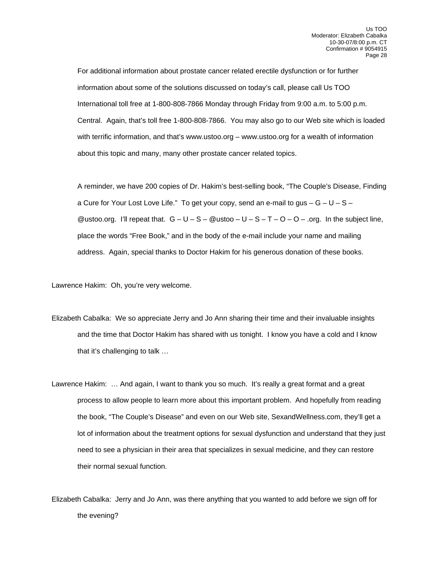For additional information about prostate cancer related erectile dysfunction or for further information about some of the solutions discussed on today's call, please call Us TOO International toll free at 1-800-808-7866 Monday through Friday from 9:00 a.m. to 5:00 p.m. Central. Again, that's toll free 1-800-808-7866. You may also go to our Web site which is loaded with terrific information, and that's www.ustoo.org – www.ustoo.org for a wealth of information about this topic and many, many other prostate cancer related topics.

 A reminder, we have 200 copies of Dr. Hakim's best-selling book, "The Couple's Disease, Finding a Cure for Your Lost Love Life." To get your copy, send an e-mail to gus  $-G-U-S-$ @ustoo.org. I'll repeat that.  $G - U - S - @$ ustoo –  $U - S - T - O - O -$ .org. In the subject line, place the words "Free Book," and in the body of the e-mail include your name and mailing address. Again, special thanks to Doctor Hakim for his generous donation of these books.

Lawrence Hakim: Oh, you're very welcome.

- Elizabeth Cabalka: We so appreciate Jerry and Jo Ann sharing their time and their invaluable insights and the time that Doctor Hakim has shared with us tonight. I know you have a cold and I know that it's challenging to talk …
- Lawrence Hakim: … And again, I want to thank you so much. It's really a great format and a great process to allow people to learn more about this important problem. And hopefully from reading the book, "The Couple's Disease" and even on our Web site, SexandWellness.com, they'll get a lot of information about the treatment options for sexual dysfunction and understand that they just need to see a physician in their area that specializes in sexual medicine, and they can restore their normal sexual function.
- Elizabeth Cabalka: Jerry and Jo Ann, was there anything that you wanted to add before we sign off for the evening?